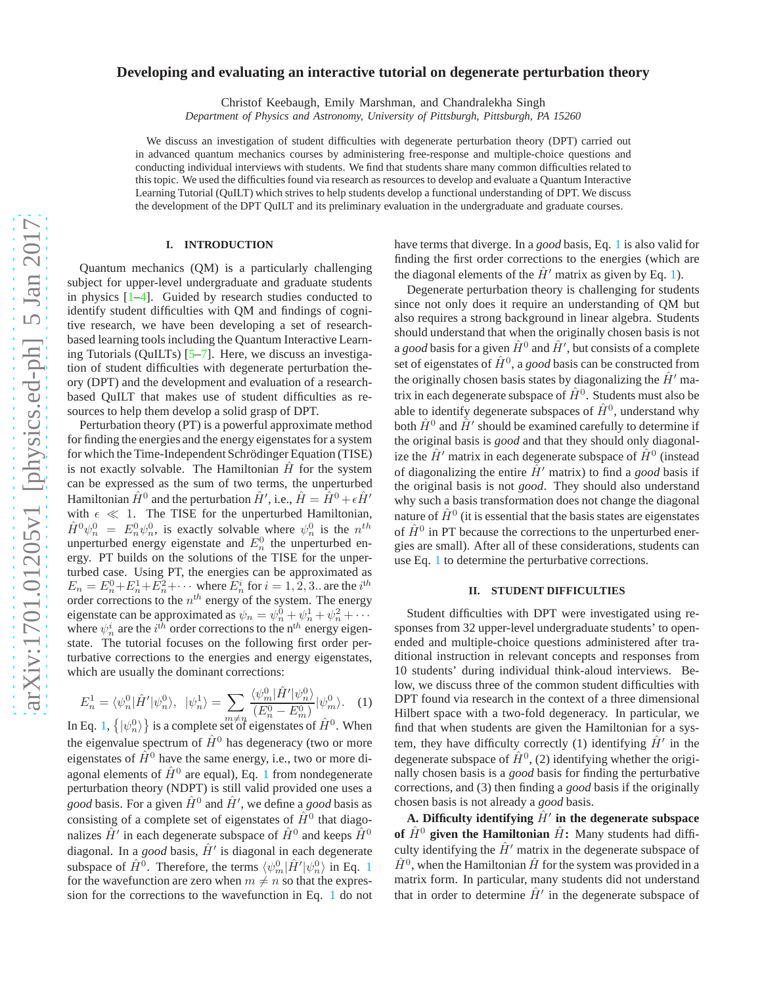# **Developing and evaluating an interactive tutorial on degenerate perturbation theory**

Christof Keebaugh, Emily Marshman, and Chandralekha Singh

*Department of Physics and Astronomy, University of Pittsburgh, Pittsburgh, PA 15260*

We discuss an investigation of student difficulties with degenerate perturbation theory (DPT) carried out in advanced quantum mechanics courses by administering free-response and multiple-choice questions and conducting individual interviews with students. We find that students share many common difficulties related to this topic. We used the difficulties found via research as resources to develop and evaluate a Quantum Interactive Learning Tutorial (QuILT) which strives to help students develop a functional understanding of DPT. We discuss the development of the DPT QuILT and its preliminary evaluation in the undergraduate and graduate courses.

## **I. INTRODUCTION**

Quantum mechanics (QM) is a particularly challenging subject for upper-level undergraduate and graduate students in physics [\[1](#page-3-0)[–4\]](#page-3-1). Guided by research studies conducted to identify student difficulties with QM and findings of cognitive research, we have been developing a set of researchbased learning tools including the Quantum Interactive Learning Tutorials (QuILTs) [\[5](#page-3-2)[–7\]](#page-3-3). Here, we discuss an investigation of student difficulties with degenerate perturbation theory (DPT) and the development and evaluation of a researchbased QuILT that makes use of student difficulties as resources to help them develop a solid grasp of DPT.

Perturbation theory (PT) is a powerful approximate method for finding the energies and the energy eigenstates for a system for which the Time-Independent Schrödinger Equation (TISE) is not exactly solvable. The Hamiltonian  $H$  for the system can be expressed as the sum of two terms, the unperturbed Hamiltonian  $\hat{H}^0$  and the perturbation  $\hat{H}'$ , i.e.,  $\hat{H} = \hat{H}^0 + \epsilon \hat{H}'$ with  $\epsilon \ll 1$ . The TISE for the unperturbed Hamiltonian,  $\hat{H}^0 \psi_n^0 = E_n^0 \psi_n^0$ , is exactly solvable where  $\psi_n^0$  is the  $n^{th}$ unperturbed energy eigenstate and  $E_n^0$  the unperturbed energy. PT builds on the solutions of the TISE for the unperturbed case. Using PT, the energies can be approximated as  $E_n = E_n^0 + E_n^1 + E_n^2 + \cdots$  where  $E_n^i$  for  $i = 1, 2, 3$ . are the  $i^{th}$ order corrections to the  $n<sup>th</sup>$  energy of the system. The energy eigenstate can be approximated as  $\psi_n = \psi_n^0 + \psi_n^1 + \psi_n^2 + \cdots$ where  $\psi_n^i$  are the  $i^{\text{th}}$  order corrections to the n<sup>th</sup> energy eigenstate. The tutorial focuses on the following first order perturbative corrections to the energies and energy eigenstates, which are usually the dominant corrections:

$$
E_n^1 = \langle \psi_n^0 | \hat{H}' | \psi_n^0 \rangle, \ \ |\psi_n^1 \rangle = \sum_{m \neq n} \frac{\langle \psi_m^0 | \hat{H}' | \psi_n^0 \rangle}{(E_n^0 - E_m^0)} |\psi_m^0 \rangle. \tag{1}
$$

In Eq. [1,](#page-0-0)  $\{|\psi_n^0\rangle\}$  is a complete set of eigenstates of  $\hat{H}^0$ . When the eigenvalue spectrum of  $\hat{H}^0$  has degeneracy (two or more eigenstates of  $\hat{H}^0$  have the same energy, i.e., two or more diagonal elements of  $\hat{H}^0$  are equal), Eq. [1](#page-0-0) from nondegenerate perturbation theory (NDPT) is still valid provided one uses a *good* basis. For a given  $\hat{H}^0$  and  $\hat{H}'$ , we define a *good* basis as consisting of a complete set of eigenstates of  $\hat{H}^0$  that diagonalizes  $\hat{H}'$  in each degenerate subspace of  $\hat{H}^0$  and keeps  $\hat{H}^0$ diagonal. In a *good* basis,  $\hat{H}'$  is diagonal in each degenerate subspace of  $\hat{H}^0$ . Therefore, the terms  $\langle \psi_m^0 | \hat{H}' | \psi_n^0 \rangle$  in Eq. [1](#page-0-0) for the wavefunction are zero when  $m \neq n$  so that the expression for the corrections to the wavefunction in Eq. [1](#page-0-0) do not

have terms that diverge. In a *good* basis, Eq. [1](#page-0-0) is also valid for finding the first order corrections to the energies (which are the diagonal elements of the  $\hat{H}'$  matrix as given by Eq. [1\)](#page-0-0).

Degenerate perturbation theory is challenging for students since not only does it require an understanding of QM but also requires a strong background in linear algebra. Students should understand that when the originally chosen basis is not a *good* basis for a given  $\hat{H}^0$  and  $\hat{H}'$ , but consists of a complete set of eigenstates of  $\hat{H}^0$ , a *good* basis can be constructed from the originally chosen basis states by diagonalizing the  $\hat{H}'$  matrix in each degenerate subspace of  $\hat{H}^0$ . Students must also be able to identify degenerate subspaces of  $\hat{H}^0$ , understand why both  $\hat{H}^0$  and  $\hat{H}'$  should be examined carefully to determine if the original basis is *good* and that they should only diagonalize the  $\hat{H}'$  matrix in each degenerate subspace of  $\hat{H}^0$  (instead of diagonalizing the entire  $\hat{H}'$  matrix) to find a *good* basis if the original basis is not *good*. They should also understand why such a basis transformation does not change the diagonal nature of  $\hat{H}^0$  (it is essential that the basis states are eigenstates of  $\hat{H}^0$  in PT because the corrections to the unperturbed energies are small). After all of these considerations, students can use Eq. [1](#page-0-0) to determine the perturbative corrections.

#### **II. STUDENT DIFFICULTIES**

<span id="page-0-0"></span>Student difficulties with DPT were investigated using responses from 32 upper-level undergraduate students' to openended and multiple-choice questions administered after traditional instruction in relevant concepts and responses from 10 students' during individual think-aloud interviews. Below, we discuss three of the common student difficulties with DPT found via research in the context of a three dimensional Hilbert space with a two-fold degeneracy. In particular, we find that when students are given the Hamiltonian for a system, they have difficulty correctly (1) identifying  $\hat{H}'$  in the degenerate subspace of  $\hat{H}^0$ , (2) identifying whether the originally chosen basis is a *good* basis for finding the perturbative corrections, and (3) then finding a *good* basis if the originally chosen basis is not already a *good* basis.

A. Difficulty identifying  $\hat{H}'$  in the degenerate subspace of  $\hat{H}^0$  given the Hamiltonian  $\hat{H}$ : Many students had difficulty identifying the  $\hat{H}'$  matrix in the degenerate subspace of  $\hat{H}^0$ , when the Hamiltonian  $\hat{H}$  for the system was provided in a matrix form. In particular, many students did not understand that in order to determine  $\hat{H}'$  in the degenerate subspace of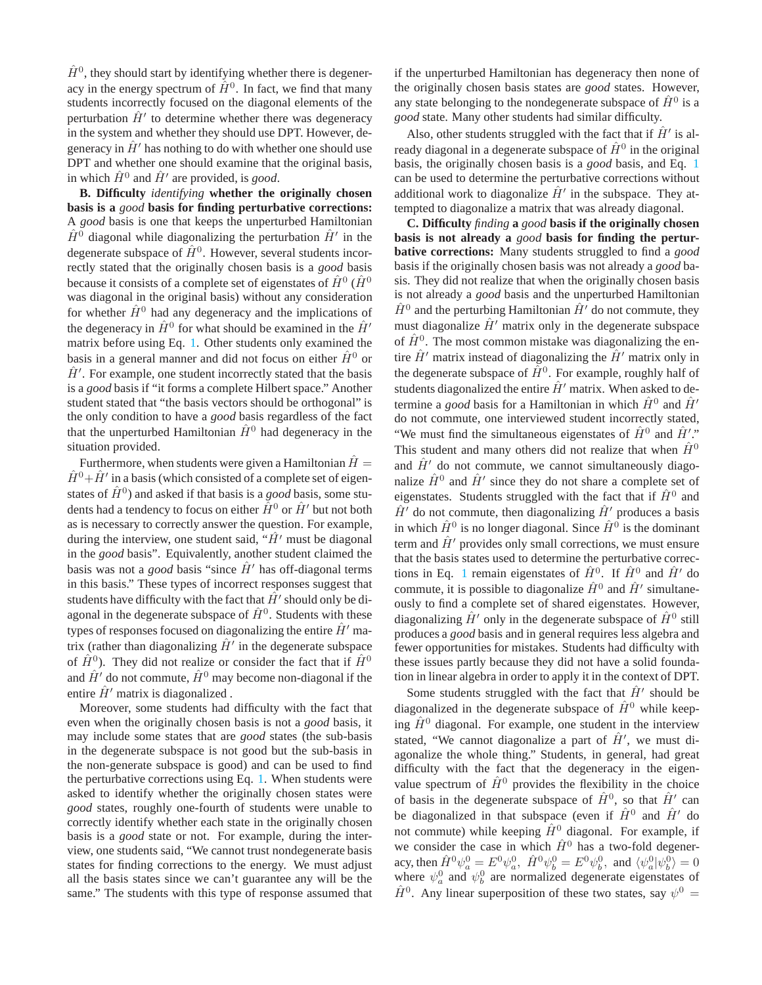$\hat{H}^0$ , they should start by identifying whether there is degeneracy in the energy spectrum of  $\hat{H}^0$ . In fact, we find that many students incorrectly focused on the diagonal elements of the perturbation  $\hat{H}'$  to determine whether there was degeneracy in the system and whether they should use DPT. However, degeneracy in  $H'$  has nothing to do with whether one should use DPT and whether one should examine that the original basis, in which  $\hat{H}^0$  and  $\hat{H}'$  are provided, is *good*.

**B. Difficulty** *identifying* **whether the originally chosen basis is a** *good* **basis for finding perturbative corrections:** A *good* basis is one that keeps the unperturbed Hamiltonian  $\hat{H}^0$  diagonal while diagonalizing the perturbation  $\hat{H}'$  in the degenerate subspace of  $\hat{H}^0$ . However, several students incorrectly stated that the originally chosen basis is a *good* basis because it consists of a complete set of eigenstates of  $\hat{H}^0$  ( $\hat{H}^0$ was diagonal in the original basis) without any consideration for whether  $\hat{H}^0$  had any degeneracy and the implications of the degeneracy in  $\hat{H}^0$  for what should be examined in the  $\hat{H}^{\prime}$ matrix before using Eq. [1.](#page-0-0) Other students only examined the basis in a general manner and did not focus on either  $\hat{H}^0$  or  $\hat{H}'$ . For example, one student incorrectly stated that the basis is a *good* basis if "it forms a complete Hilbert space." Another student stated that "the basis vectors should be orthogonal" is the only condition to have a *good* basis regardless of the fact that the unperturbed Hamiltonian  $\hat{H}^0$  had degeneracy in the situation provided.

Furthermore, when students were given a Hamiltonian  $H =$  $\hat{H}^0 + \hat{H}'$  in a basis (which consisted of a complete set of eigenstates of  $\hat{H}^0$ ) and asked if that basis is a *good* basis, some students had a tendency to focus on either  $\hat{H}^0$  or  $\hat{H}'$  but not both as is necessary to correctly answer the question. For example, during the interview, one student said, " $\hat{H}$ ' must be diagonal in the *good* basis". Equivalently, another student claimed the basis was not a *good* basis "since  $\hat{H}'$  has off-diagonal terms in this basis." These types of incorrect responses suggest that students have difficulty with the fact that  $\hat{H}'$  should only be diagonal in the degenerate subspace of  $\hat{H}^0$ . Students with these types of responses focused on diagonalizing the entire  $\hat{H}'$  matrix (rather than diagonalizing  $\hat{H}'$  in the degenerate subspace of  $\hat{H}^0$ ). They did not realize or consider the fact that if  $\hat{H}^0$ and  $\hat{H}'$  do not commute,  $\hat{H}^0$  may become non-diagonal if the entire  $\hat{H}$ <sup>'</sup> matrix is diagonalized.

Moreover, some students had difficulty with the fact that even when the originally chosen basis is not a *good* basis, it may include some states that are *good* states (the sub-basis in the degenerate subspace is not good but the sub-basis in the non-generate subspace is good) and can be used to find the perturbative corrections using Eq. [1.](#page-0-0) When students were asked to identify whether the originally chosen states were *good* states, roughly one-fourth of students were unable to correctly identify whether each state in the originally chosen basis is a *good* state or not. For example, during the interview, one students said, "We cannot trust nondegenerate basis states for finding corrections to the energy. We must adjust all the basis states since we can't guarantee any will be the same." The students with this type of response assumed that if the unperturbed Hamiltonian has degeneracy then none of the originally chosen basis states are *good* states. However, any state belonging to the nondegenerate subspace of  $\hat{H}^0$  is a *good* state. Many other students had similar difficulty.

Also, other students struggled with the fact that if  $\hat{H}'$  is already diagonal in a degenerate subspace of  $\hat{H}^0$  in the original basis, the originally chosen basis is a *good* basis, and Eq. [1](#page-0-0) can be used to determine the perturbative corrections without additional work to diagonalize  $\hat{H}'$  in the subspace. They attempted to diagonalize a matrix that was already diagonal.

**C. Difficulty** *finding* **a** *good* **basis if the originally chosen basis is not already a** *good* **basis for finding the perturbative corrections:** Many students struggled to find a *good* basis if the originally chosen basis was not already a *good* basis. They did not realize that when the originally chosen basis is not already a *good* basis and the unperturbed Hamiltonian  $\hat{H}^0$  and the perturbing Hamiltonian  $\hat{H}'$  do not commute, they must diagonalize  $\hat{H}'$  matrix only in the degenerate subspace of  $\hat{H}^0$ . The most common mistake was diagonalizing the entire  $\hat{H}'$  matrix instead of diagonalizing the  $\hat{H}'$  matrix only in the degenerate subspace of  $\hat{H}^0$ . For example, roughly half of students diagonalized the entire  $\hat{H}'$  matrix. When asked to determine a *good* basis for a Hamiltonian in which  $\hat{H}^0$  and  $\hat{H}^{\prime}$ do not commute, one interviewed student incorrectly stated, "We must find the simultaneous eigenstates of  $\hat{H}^0$  and  $\hat{H}'$ ." This student and many others did not realize that when  $\hat{H}^0$ and  $\hat{H}'$  do not commute, we cannot simultaneously diagonalize  $\hat{H}^0$  and  $\hat{H}'$  since they do not share a complete set of eigenstates. Students struggled with the fact that if  $\hat{H}^0$  and  $\hat{H}'$  do not commute, then diagonalizing  $\hat{H}'$  produces a basis in which  $\hat{H}^0$  is no longer diagonal. Since  $\hat{H}^0$  is the dominant term and  $\hat{H}'$  provides only small corrections, we must ensure that the basis states used to determine the perturbative correc-tions in Eq. [1](#page-0-0) remain eigenstates of  $\hat{H}^0$ . If  $\hat{H}^0$  and  $\hat{H}'$  do commute, it is possible to diagonalize  $\hat{H}^0$  and  $\hat{H}'$  simultaneously to find a complete set of shared eigenstates. However, diagonalizing  $\hat{H}'$  only in the degenerate subspace of  $\hat{H}^0$  still produces a *good* basis and in general requires less algebra and fewer opportunities for mistakes. Students had difficulty with these issues partly because they did not have a solid foundation in linear algebra in order to apply it in the context of DPT.

Some students struggled with the fact that  $\hat{H}'$  should be diagonalized in the degenerate subspace of  $\hat{H}^0$  while keeping  $\hat{H}^0$  diagonal. For example, one student in the interview stated, "We cannot diagonalize a part of  $\hat{H}'$ , we must diagonalize the whole thing." Students, in general, had great difficulty with the fact that the degeneracy in the eigenvalue spectrum of  $\hat{H}^0$  provides the flexibility in the choice of basis in the degenerate subspace of  $\hat{H}^0$ , so that  $\hat{H}'$  can be diagonalized in that subspace (even if  $\hat{H}^0$  and  $\hat{H}'$  do not commute) while keeping  $\hat{H}^0$  diagonal. For example, if we consider the case in which  $\hat{H}^0$  has a two-fold degeneracy, then  $\hat{H}^0 \psi_a^0 = E^0 \psi_a^0$ ,  $\hat{H}^0 \psi_b^0 = E^0 \psi_b^0$ , and  $\langle \psi_a^0 | \psi_b^0 \rangle = 0$ where  $\psi_a^0$  and  $\psi_b^0$  are normalized degenerate eigenstates of  $\hat{H}^0$ . Any linear superposition of these two states, say  $\psi^0 =$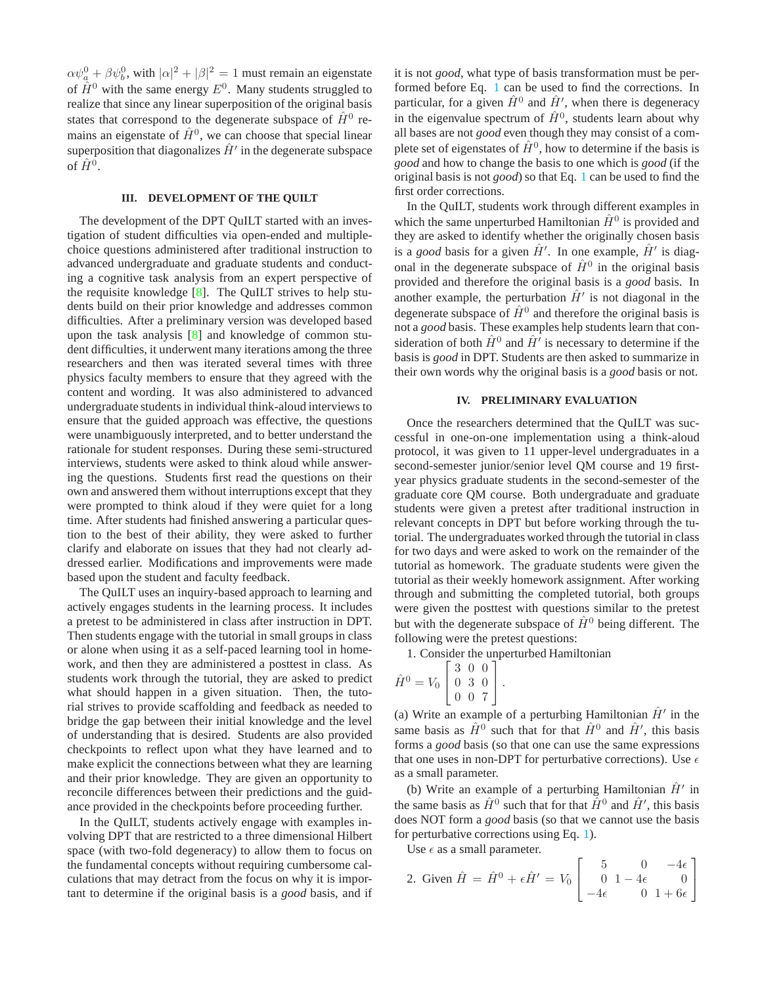$\alpha \psi_a^0 + \beta \psi_b^0$ , with  $|\alpha|^2 + |\beta|^2 = 1$  must remain an eigenstate of  $\hat{H}^0$  with the same energy  $E^0$ . Many students struggled to realize that since any linear superposition of the original basis states that correspond to the degenerate subspace of  $\hat{H}^0$  remains an eigenstate of  $\hat{H}^0$ , we can choose that special linear superposition that diagonalizes  $\hat{H}'$  in the degenerate subspace of  $\hat{H}^0$ .

## **III. DEVELOPMENT OF THE QUILT**

The development of the DPT QuILT started with an investigation of student difficulties via open-ended and multiplechoice questions administered after traditional instruction to advanced undergraduate and graduate students and conducting a cognitive task analysis from an expert perspective of the requisite knowledge [\[8\]](#page-3-4). The QuILT strives to help students build on their prior knowledge and addresses common difficulties. After a preliminary version was developed based upon the task analysis [\[8](#page-3-4)] and knowledge of common student difficulties, it underwent many iterations among the three researchers and then was iterated several times with three physics faculty members to ensure that they agreed with the content and wording. It was also administered to advanced undergraduate students in individual think-aloud interviews to ensure that the guided approach was effective, the questions were unambiguously interpreted, and to better understand the rationale for student responses. During these semi-structured interviews, students were asked to think aloud while answering the questions. Students first read the questions on their own and answered them without interruptions except that they were prompted to think aloud if they were quiet for a long time. After students had finished answering a particular question to the best of their ability, they were asked to further clarify and elaborate on issues that they had not clearly addressed earlier. Modifications and improvements were made based upon the student and faculty feedback.

The QuILT uses an inquiry-based approach to learning and actively engages students in the learning process. It includes a pretest to be administered in class after instruction in DPT. Then students engage with the tutorial in small groups in class or alone when using it as a self-paced learning tool in homework, and then they are administered a posttest in class. As students work through the tutorial, they are asked to predict what should happen in a given situation. Then, the tutorial strives to provide scaffolding and feedback as needed to bridge the gap between their initial knowledge and the level of understanding that is desired. Students are also provided checkpoints to reflect upon what they have learned and to make explicit the connections between what they are learning and their prior knowledge. They are given an opportunity to reconcile differences between their predictions and the guidance provided in the checkpoints before proceeding further.

In the QuILT, students actively engage with examples involving DPT that are restricted to a three dimensional Hilbert space (with two-fold degeneracy) to allow them to focus on the fundamental concepts without requiring cumbersome calculations that may detract from the focus on why it is important to determine if the original basis is a *good* basis, and if it is not *good*, what type of basis transformation must be performed before Eq. [1](#page-0-0) can be used to find the corrections. In particular, for a given  $\hat{H}^0$  and  $\hat{H}'$ , when there is degeneracy in the eigenvalue spectrum of  $\hat{H}^0$ , students learn about why all bases are not *good* even though they may consist of a complete set of eigenstates of  $\hat{H}^0$ , how to determine if the basis is *good* and how to change the basis to one which is *good* (if the original basis is not *good*) so that Eq. [1](#page-0-0) can be used to find the first order corrections.

In the QuILT, students work through different examples in which the same unperturbed Hamiltonian  $\hat{H}^0$  is provided and they are asked to identify whether the originally chosen basis is a *good* basis for a given  $\hat{H}'$ . In one example,  $\hat{H}'$  is diagonal in the degenerate subspace of  $\hat{H}^0$  in the original basis provided and therefore the original basis is a *good* basis. In another example, the perturbation  $\hat{H}'$  is not diagonal in the degenerate subspace of  $\hat{H}^0$  and therefore the original basis is not a *good* basis. These examples help students learn that consideration of both  $\hat{H}^0$  and  $\hat{H}^{\prime}$  is necessary to determine if the basis is *good* in DPT. Students are then asked to summarize in their own words why the original basis is a *good* basis or not.

#### **IV. PRELIMINARY EVALUATION**

Once the researchers determined that the QuILT was successful in one-on-one implementation using a think-aloud protocol, it was given to 11 upper-level undergraduates in a second-semester junior/senior level QM course and 19 firstyear physics graduate students in the second-semester of the graduate core QM course. Both undergraduate and graduate students were given a pretest after traditional instruction in relevant concepts in DPT but before working through the tutorial. The undergraduates worked through the tutorial in class for two days and were asked to work on the remainder of the tutorial as homework. The graduate students were given the tutorial as their weekly homework assignment. After working through and submitting the completed tutorial, both groups were given the posttest with questions similar to the pretest but with the degenerate subspace of  $\hat{H}^0$  being different. The following were the pretest questions:

1. Consider the unperturbed Hamiltonian

$$
\hat{H}^0 = V_0 \begin{bmatrix} 3 & 0 & 0 \\ 0 & 3 & 0 \\ 0 & 0 & 7 \end{bmatrix}.
$$

(a) Write an example of a perturbing Hamiltonian  $\hat{H}'$  in the same basis as  $\hat{H}^0$  such that for that  $\hat{H}^0$  and  $\hat{H}'$ , this basis forms a *good* basis (so that one can use the same expressions that one uses in non-DPT for perturbative corrections). Use  $\epsilon$ as a small parameter.

(b) Write an example of a perturbing Hamiltonian  $\hat{H}'$  in the same basis as  $\hat{H}^0$  such that for that  $\hat{H}^0$  and  $\hat{H}'$ , this basis does NOT form a *good* basis (so that we cannot use the basis for perturbative corrections using Eq. [1\)](#page-0-0).

Use  $\epsilon$  as a small parameter.

2. Given 
$$
\hat{H} = \hat{H}^0 + \epsilon \hat{H}' = V_0 \begin{bmatrix} 5 & 0 & -4\epsilon \\ 0 & 1 - 4\epsilon & 0 \\ -4\epsilon & 0 & 1 + 6\epsilon \end{bmatrix}
$$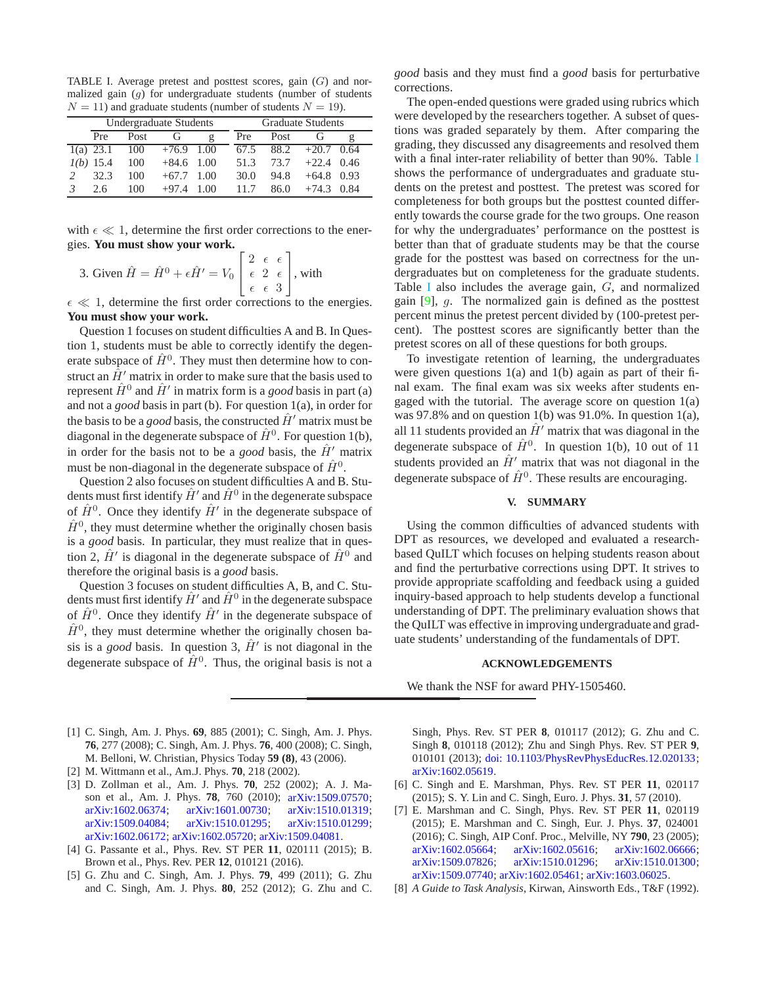<span id="page-3-5"></span>TABLE I. Average pretest and posttest scores, gain  $(G)$  and normalized gain  $(g)$  for undergraduate students (number of students  $N = 11$ ) and graduate students (number of students  $N = 19$ ).

| Undergraduate Students |      |              |      |  | <b>Graduate Students</b> |      |              |      |
|------------------------|------|--------------|------|--|--------------------------|------|--------------|------|
| Pre                    | Post | G            | g    |  | Pre                      | Post | Сì.          |      |
| 1(a) 23.1              | 100  | $+76.9$ 1.00 |      |  | 67.5                     | 88.2 | $+20.7$      | 0.64 |
| $1(b)$ 15.4            | 100  | $+84.6$ 1.00 |      |  | 51.3                     | 73.7 | $+22.4$ 0.46 |      |
| 32.3                   | 100  | $+67.7$      | 1.00 |  | 30.0                     | 94.8 | $+64.8$      | 0.93 |
| 26                     | 100  | $+97.4$      | (0() |  | 117                      | 86.0 | $+74.3$      | 0.84 |

with  $\epsilon \ll 1$ , determine the first order corrections to the energies. **You must show your work.**

3. Given 
$$
\hat{H} = \hat{H}^0 + \epsilon \hat{H}' = V_0 \begin{bmatrix} 2 & \epsilon & \epsilon \\ \epsilon & 2 & \epsilon \\ \epsilon & \epsilon & 3 \end{bmatrix}
$$
, with

 $\epsilon \ll 1$ , determine the first order corrections to the energies. **You must show your work.**

Question 1 focuses on student difficulties A and B. In Question 1, students must be able to correctly identify the degenerate subspace of  $\hat{H}^0$ . They must then determine how to construct an  $\hat{H}'$  matrix in order to make sure that the basis used to represent  $\hat{H}^0$  and  $\hat{H}'$  in matrix form is a *good* basis in part (a) and not a *good* basis in part (b). For question 1(a), in order for the basis to be a *good* basis, the constructed  $\hat{H}'$  matrix must be diagonal in the degenerate subspace of  $\hat{H}^0$ . For question 1(b), in order for the basis not to be a *good* basis, the  $\hat{H}'$  matrix must be non-diagonal in the degenerate subspace of  $\hat{H}^0$ .

Question 2 also focuses on student difficulties A and B. Students must first identify  $\hat{H}'$  and  $\hat{H}^0$  in the degenerate subspace of  $\hat{H}^0$ . Once they identify  $\hat{H}'$  in the degenerate subspace of  $\hat{H}^0$ , they must determine whether the originally chosen basis is a *good* basis. In particular, they must realize that in question 2,  $\hat{H}'$  is diagonal in the degenerate subspace of  $\hat{H}^0$  and therefore the original basis is a *good* basis.

Question 3 focuses on student difficulties A, B, and C. Students must first identify  $\hat{H}'$  and  $\hat{H}^0$  in the degenerate subspace of  $\hat{H}^0$ . Once they identify  $\hat{H}'$  in the degenerate subspace of  $\hat{H}^0$ , they must determine whether the originally chosen basis is a *good* basis. In question 3,  $\hat{H}'$  is not diagonal in the degenerate subspace of  $\hat{H}^0$ . Thus, the original basis is not a *good* basis and they must find a *good* basis for perturbative corrections.

The open-ended questions were graded using rubrics which were developed by the researchers together. A subset of questions was graded separately by them. After comparing the grading, they discussed any disagreements and resolved them with a final inter-rater reliability of better than 90%. Table [I](#page-3-5) shows the performance of undergraduates and graduate students on the pretest and posttest. The pretest was scored for completeness for both groups but the posttest counted differently towards the course grade for the two groups. One reason for why the undergraduates' performance on the posttest is better than that of graduate students may be that the course grade for the posttest was based on correctness for the undergraduates but on completeness for the graduate students. Table [I](#page-3-5) also includes the average gain, G, and normalized gain [\[9](#page-4-0)], g. The normalized gain is defined as the posttest percent minus the pretest percent divided by (100-pretest percent). The posttest scores are significantly better than the pretest scores on all of these questions for both groups.

To investigate retention of learning, the undergraduates were given questions  $1(a)$  and  $1(b)$  again as part of their final exam. The final exam was six weeks after students engaged with the tutorial. The average score on question  $1(a)$ was 97.8% and on question 1(b) was 91.0%. In question 1(a), all 11 students provided an  $\hat{H}'$  matrix that was diagonal in the degenerate subspace of  $\hat{H}^0$ . In question 1(b), 10 out of 11 students provided an  $\hat{H}'$  matrix that was not diagonal in the degenerate subspace of  $\hat{H}^0$ . These results are encouraging.

## **V. SUMMARY**

Using the common difficulties of advanced students with DPT as resources, we developed and evaluated a researchbased QuILT which focuses on helping students reason about and find the perturbative corrections using DPT. It strives to provide appropriate scaffolding and feedback using a guided inquiry-based approach to help students develop a functional understanding of DPT. The preliminary evaluation shows that the QuILT was effective in improving undergraduate and graduate students' understanding of the fundamentals of DPT.

## **ACKNOWLEDGEMENTS**

We thank the NSF for award PHY-1505460.

- <span id="page-3-0"></span>[1] C. Singh, Am. J. Phys. **69**, 885 (2001); C. Singh, Am. J. Phys. **76**, 277 (2008); C. Singh, Am. J. Phys. **76**, 400 (2008); C. Singh, M. Belloni, W. Christian, Physics Today **59 (8)**, 43 (2006).
- [2] M. Wittmann et al., Am.J. Phys. **70**, 218 (2002).
- [3] D. Zollman et al., Am. J. Phys. **70**, 252 (2002); A. J. Mason et al., Am. J. Phys. **78**, 760 (2010); [arXiv:1509.07570;](https://arxiv.org/abs/1509.07570) [arXiv:1602.06374;](https://arxiv.org/abs/1602.06374) [arXiv:1601.00730;](https://arxiv.org/abs/1601.00730) [arXiv:1510.01319;](https://arxiv.org/abs/1510.01319) [arXiv:1509.04084;](https://arxiv.org/abs/1509.04084) [arXiv:1510.01295;](https://arxiv.org/abs/1510.01295) [arXiv:1510.01299;](https://arxiv.org/abs/1510.01299) [arXiv:1602.06172;](https://arxiv.org/abs/1602.06172) [arXiv:1602.05720;](https://arxiv.org/abs/1602.05720) [arXiv:1509.04081.](https://arxiv.org/abs/1509.04081)
- <span id="page-3-1"></span>[4] G. Passante et al., Phys. Rev. ST PER **11**, 020111 (2015); B. Brown et al., Phys. Rev. PER **12**, 010121 (2016).
- <span id="page-3-2"></span>[5] G. Zhu and C. Singh, Am. J. Phys. **79**, 499 (2011); G. Zhu and C. Singh, Am. J. Phys. **80**, 252 (2012); G. Zhu and C.

Singh, Phys. Rev. ST PER **8**, 010117 (2012); G. Zhu and C. Singh **8**, 010118 (2012); Zhu and Singh Phys. Rev. ST PER **9**, 010101 (2013); [doi: 10.1103/PhysRevPhysEducRes.12.020133;](https://dx.doi.org/10.1103/PhysRevPhysEducRes.12.020133) [arXiv:1602.05619.](https://arxiv.org/abs/1602.05619)

- [6] C. Singh and E. Marshman, Phys. Rev. ST PER **11**, 020117 (2015); S. Y. Lin and C. Singh, Euro. J. Phys. **31**, 57 (2010).
- <span id="page-3-3"></span>[7] E. Marshman and C. Singh, Phys. Rev. ST PER **11**, 020119 (2015); E. Marshman and C. Singh, Eur. J. Phys. **37**, 024001 (2016); C. Singh, AIP Conf. Proc., Melville, NY **790**, 23 (2005); [arXiv:1602.05664;](https://arxiv.org/abs/1602.05664) [arXiv:1602.05616;](https://arxiv.org/abs/1602.05616) [arXiv:1602.06666;](https://arxiv.org/abs/1602.06666) [arXiv:1509.07826;](https://arxiv.org/abs/1509.07826) [arXiv:1510.01296;](https://arxiv.org/abs/1510.01296) [arXiv:1510.01300;](https://arxiv.org/abs/1510.01300) [arXiv:1509.07740;](https://arxiv.org/abs/1509.07740) [arXiv:1602.05461;](https://arxiv.org/abs/1602.05461) [arXiv:1603.06025.](https://arxiv.org/abs/1603.06025)
- <span id="page-3-4"></span>[8] *A Guide to Task Analysis*, Kirwan, Ainsworth Eds., T&F (1992).